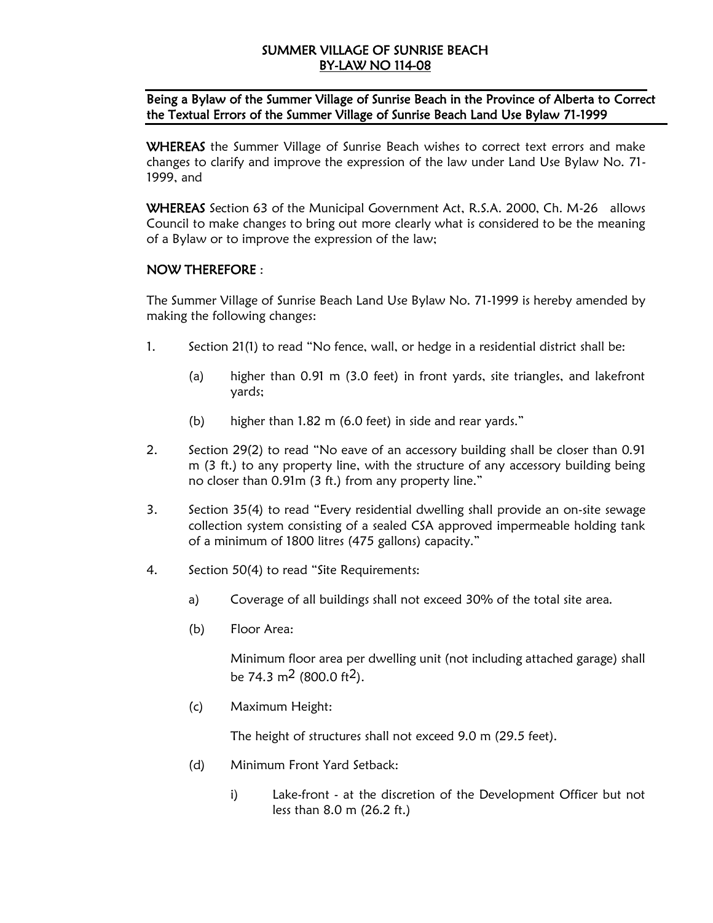# SUMMER VILLAGE OF SUNRISE BEACH BY-LAW NO 114-08

## Being a Bylaw of the Summer Village of Sunrise Beach in the Province of Alberta to Correct the Textual Errors of the Summer Village of Sunrise Beach Land Use Bylaw 71-1999

WHEREAS the Summer Village of Sunrise Beach wishes to correct text errors and make changes to clarify and improve the expression of the law under Land Use Bylaw No. 71- 1999, and

WHEREAS Section 63 of the Municipal Government Act, R.S.A. 2000, Ch. M-26 allows Council to make changes to bring out more clearly what is considered to be the meaning of a Bylaw or to improve the expression of the law;

## NOW THEREFORE :

The Summer Village of Sunrise Beach Land Use Bylaw No. 71-1999 is hereby amended by making the following changes:

- 1. Section 21(1) to read "No fence, wall, or hedge in a residential district shall be:
	- (a) higher than 0.91 m (3.0 feet) in front yards, site triangles, and lakefront yards;
	- (b) higher than 1.82 m (6.0 feet) in side and rear yards."
- 2. Section 29(2) to read "No eave of an accessory building shall be closer than 0.91 m (3 ft.) to any property line, with the structure of any accessory building being no closer than 0.91m (3 ft.) from any property line."
- 3. Section 35(4) to read "Every residential dwelling shall provide an on-site sewage collection system consisting of a sealed CSA approved impermeable holding tank of a minimum of 1800 litres (475 gallons) capacity."
- 4. Section 50(4) to read "Site Requirements:
	- a) Coverage of all buildings shall not exceed 30% of the total site area.
	- (b) Floor Area:

Minimum floor area per dwelling unit (not including attached garage) shall be 74.3  $m^2$  (800.0 ft<sup>2</sup>).

(c) Maximum Height:

The height of structures shall not exceed 9.0 m (29.5 feet).

- (d) Minimum Front Yard Setback:
	- i) Lake-front at the discretion of the Development Officer but not less than 8.0 m (26.2 ft.)